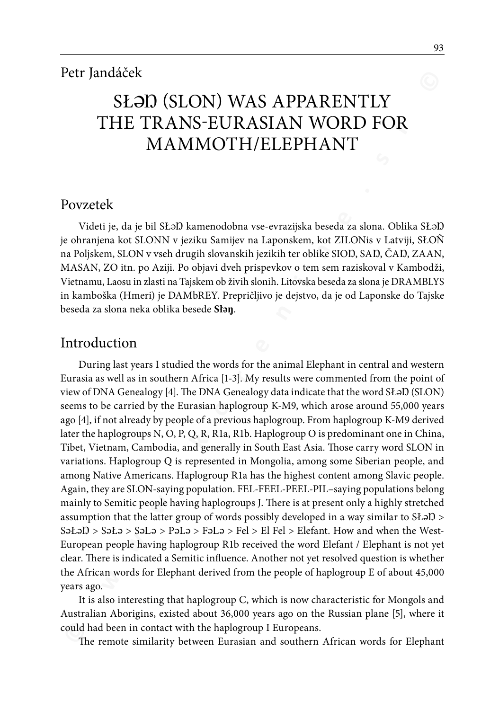# SŁƏD (SLON) WAS APPARENTLY THE TRANS-EURASIAN WORD FOR MAMMOTH/ELEPHANT

### Povzetek

Videti je, da je bil SŁəl) kamenodobna vse-evrazijska beseda za slona. Oblika SŁəl) je ohranjena kot SLONN v jeziku Samijev na Laponskem, kot ZILONis v Latviji, SŁOÑ na Poljskem, SLON v vseh drugih slovanskih jezikih ter oblike SIOŊ, SAŊ, ČAŊ, ZAAN, MASAN, ZO itn. po Aziji. Po objavi dveh prispevkov o tem sem raziskoval v Kambodži, Vietnamu, Laosu in zlasti na Tajskem ob živih slonih. Litovska beseda za slona je DRAMBLYS in kamboška (Hmeri) je DAMbREY. Prepričljivo je dejstvo, da je od Laponske do Tajske beseda za slona neka oblika besede **Słəŋ**.

## Introduction

**EXERATELY**<br>
SECTION (SLON) WAS APPARENTLY<br>
THE TRANS-EURASIAN WORD FOR<br>
MAMMOTH/ELEPHANT<br>
TORE MASS EURASIAN WORD FOR<br>
MAMMOTH/ELEPHANT<br>
Votel is, da je bil SL2D kamenodobna vse-evrazjiška beseda za siona. Oblika SL2<br>
Vot During last years I studied the words for the animal Elephant in central and western Eurasia as well as in southern Africa [1-3]. My results were commented from the point of view of DNA Genealogy [4]. The DNA Genealogy data indicate that the word SŁaD (SLON) seems to be carried by the Eurasian haplogroup K-M9, which arose around 55,000 years ago [4], if not already by people of a previous haplogroup. From haplogroup K-M9 derived later the haplogroups N, O, P, Q, R, R1a, R1b. Haplogroup O is predominant one in China, Tibet, Vietnam, Cambodia, and generally in South East Asia. Those carry word SLON in variations. Haplogroup Q is represented in Mongolia, among some Siberian people, and among Native Americans. Haplogroup R1a has the highest content among Slavic people. Again, they are SLON-saying population. FEL-FEEL-PEEL-PIL–saying populations belong mainly to Semitic people having haplogroups J. There is at present only a highly stretched assumption that the latter group of words possibly developed in a way similar to SŁəID > SəŁəŊ > SəŁə > Səl<sup>ə</sup> > Pələ > Fələ > Fel > El Fel > Elefant. How and when the West-European people having haplogroup R1b received the word Elefant / Elephant is not yet clear. There is indicated a Semitic influence. Another not yet resolved question is whether the African words for Elephant derived from the people of haplogroup E of about 45,000 years ago.

It is also interesting that haplogroup C, which is now characteristic for Mongols and Australian Aborigins, existed about 36,000 years ago on the Russian plane [5], where it could had been in contact with the haplogroup I Europeans.

The remote similarity between Eurasian and southern African words for Elephant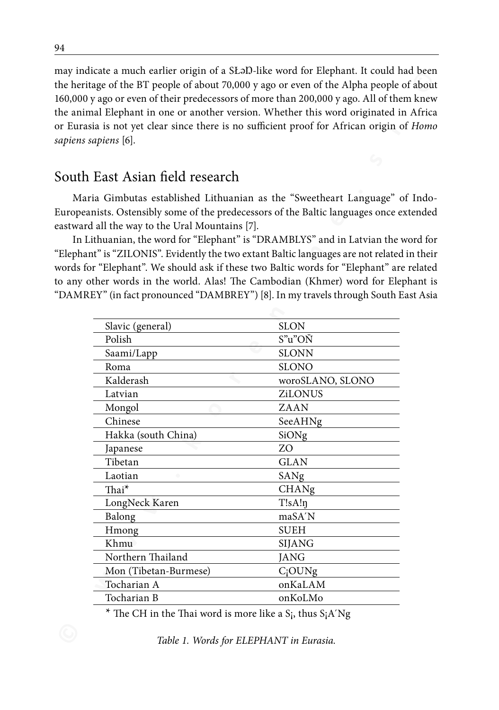may indicate a much earlier origin of a SŁaD-like word for Elephant. It could had been the heritage of the BT people of about 70,000 y ago or even of the Alpha people of about 160,000 y ago or even of their predecessors of more than 200,000 y ago. All of them knew the animal Elephant in one or another version. Whether this word originated in Africa or Eurasia is not yet clear since there is no sufficient proof for African origin of *Homo sapiens sapiens* [6].

# South East Asian field research

| sapiens sapiens [6].                                                                          | $\mu$ ay muicate a much earlier origin or a st.ID-like word for Elephant. It could had been<br>the heritage of the BT people of about 70,000 y ago or even of the Alpha people of about<br>160,000 y ago or even of their predecessors of more than 200,000 y ago. All of them knew<br>the animal Elephant in one or another version. Whether this word originated in Africa<br>or Eurasia is not yet clear since there is no sufficient proof for African origin of Home                                                                                                                                                       |
|-----------------------------------------------------------------------------------------------|---------------------------------------------------------------------------------------------------------------------------------------------------------------------------------------------------------------------------------------------------------------------------------------------------------------------------------------------------------------------------------------------------------------------------------------------------------------------------------------------------------------------------------------------------------------------------------------------------------------------------------|
| South East Asian field research                                                               |                                                                                                                                                                                                                                                                                                                                                                                                                                                                                                                                                                                                                                 |
| eastward all the way to the Ural Mountains [7].                                               | Maria Gimbutas established Lithuanian as the "Sweetheart Language" of Indo-<br>Europeanists. Ostensibly some of the predecessors of the Baltic languages once extended<br>In Lithuanian, the word for "Elephant" is "DRAMBLYS" and in Latvian the word for<br>'Elephant" is "ZILONIS". Evidently the two extant Baltic languages are not related in thei<br>words for "Elephant". We should ask if these two Baltic words for "Elephant" are related<br>to any other words in the world. Alas! The Cambodian (Khmer) word for Elephant is<br>'DAMREY" (in fact pronounced "DAMBREY") [8]. In my travels through South East Asia |
| Slavic (general)                                                                              | <b>SLON</b>                                                                                                                                                                                                                                                                                                                                                                                                                                                                                                                                                                                                                     |
| Polish                                                                                        | S"u"OŇ                                                                                                                                                                                                                                                                                                                                                                                                                                                                                                                                                                                                                          |
| Saami/Lapp                                                                                    | <b>SLONN</b>                                                                                                                                                                                                                                                                                                                                                                                                                                                                                                                                                                                                                    |
| Roma                                                                                          | <b>SLONO</b>                                                                                                                                                                                                                                                                                                                                                                                                                                                                                                                                                                                                                    |
| Kalderash                                                                                     | woroSLANO, SLONO                                                                                                                                                                                                                                                                                                                                                                                                                                                                                                                                                                                                                |
| Latvian                                                                                       | ZiLONUS                                                                                                                                                                                                                                                                                                                                                                                                                                                                                                                                                                                                                         |
| Mongol                                                                                        | ZAAN                                                                                                                                                                                                                                                                                                                                                                                                                                                                                                                                                                                                                            |
| Chinese                                                                                       | SeeAHNg                                                                                                                                                                                                                                                                                                                                                                                                                                                                                                                                                                                                                         |
| Hakka (south China)                                                                           | SiONg                                                                                                                                                                                                                                                                                                                                                                                                                                                                                                                                                                                                                           |
| Japanese                                                                                      | ZO                                                                                                                                                                                                                                                                                                                                                                                                                                                                                                                                                                                                                              |
| Tibetan                                                                                       | <b>GLAN</b>                                                                                                                                                                                                                                                                                                                                                                                                                                                                                                                                                                                                                     |
| Laotian                                                                                       | SANg                                                                                                                                                                                                                                                                                                                                                                                                                                                                                                                                                                                                                            |
| Thai <sup>*</sup>                                                                             | CHANg                                                                                                                                                                                                                                                                                                                                                                                                                                                                                                                                                                                                                           |
| LongNeck Karen                                                                                | T!sA!                                                                                                                                                                                                                                                                                                                                                                                                                                                                                                                                                                                                                           |
| Balong                                                                                        | maSA'N                                                                                                                                                                                                                                                                                                                                                                                                                                                                                                                                                                                                                          |
| Hmong                                                                                         | <b>SUEH</b>                                                                                                                                                                                                                                                                                                                                                                                                                                                                                                                                                                                                                     |
| Khmu                                                                                          | SIJANG                                                                                                                                                                                                                                                                                                                                                                                                                                                                                                                                                                                                                          |
| Northern Thailand                                                                             | <b>JANG</b>                                                                                                                                                                                                                                                                                                                                                                                                                                                                                                                                                                                                                     |
| Mon (Tibetan-Burmese)                                                                         | $C_i$ OUNg                                                                                                                                                                                                                                                                                                                                                                                                                                                                                                                                                                                                                      |
| Tocharian A                                                                                   | onKaLAM                                                                                                                                                                                                                                                                                                                                                                                                                                                                                                                                                                                                                         |
| Tocharian B                                                                                   | onKoLMo                                                                                                                                                                                                                                                                                                                                                                                                                                                                                                                                                                                                                         |
| <sup>*</sup> The CH in the Thai word is more like a S <sub>i</sub> , thus S <sub>i</sub> A'Ng |                                                                                                                                                                                                                                                                                                                                                                                                                                                                                                                                                                                                                                 |
|                                                                                               | Table 1. Words for ELEPHANT in Eurasia.                                                                                                                                                                                                                                                                                                                                                                                                                                                                                                                                                                                         |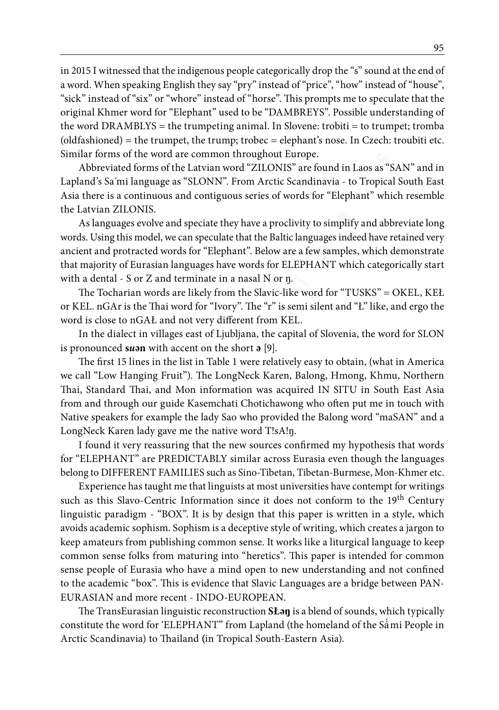in 2015 I witnessed that the indigenous people categorically drop the "s" sound at the end of a word. When speaking English they say "pry" instead of "price", "how" instead of "house", "sick" instead of "six" or "whore" instead of "horse". This prompts me to speculate that the original Khmer word for "Elephant" used to be "DAMBREYS". Possible understanding of the word DRAMBLYS = the trumpeting animal. In Slovene: trobiti = to trumpet; tromba (oldfashioned) = the trumpet, the trump; trobec = elephant's nose. In Czech: troubiti etc. Similar forms of the word are common throughout Europe.

Abbreviated forms of the Latvian word "ZILONIS" are found in Laos as "SAN" and in Lapland's Sa´mi language as "SLONN". From Arctic Scandinavia - to Tropical South East Asia there is a continuous and contiguous series of words for "Elephant" which resemble the Latvian ZILONIS.

As languages evolve and speciate they have a proclivity to simplify and abbreviate long words. Using this model, we can speculate that the Baltic languages indeed have retained very ancient and protracted words for "Elephant". Below are a few samples, which demonstrate that majority of Eurasian languages have words for ELEPHANT which categorically start with a dental - S or Z and terminate in a nasal N or ŋ.

The Tocharian words are likely from the Slavic-like word for "TUSKS" = OKEL, KEŁ or KEL. nGAr is the Thai word for "Ivory". The "r" is semi silent and "Ł" like, and ergo the word is close to nGAŁ and not very different from KEL.

In the dialect in villages east of Ljubljana, the capital of Slovenia, the word for SLON is pronounced **s***u***ən** with accent on the short **ə** [9].

The first 15 lines in the list in Table 1 were relatively easy to obtain, (what in America we call "Low Hanging Fruit"). The LongNeck Karen, Balong, Hmong, Khmu, Northern Thai, Standard Thai, and Mon information was acquired IN SITU in South East Asia from and through our guide Kasemchati Chotichawong who often put me in touch with Native speakers for example the lady Sao who provided the Balong word "maSAN" and a LongNeck Karen lady gave me the native word T!sA!ŋ.

I found it very reassuring that the new sources confirmed my hypothesis that words for "ELEPHANT" are PREDICTABLY similar across Eurasia even though the languages belong to DIFFERENT FAMILIES such as Sino-Tibetan, Tibetan-Burmese, Mon-Khmer etc.

**n** and any and a methania mode and the material of the social of the social of the social of the spatial of the spatial of the spatial of the spatial of the spatial of the spatial of the spatial of the spatial of the spat Experience has taught me that linguists at most universities have contempt for writings such as this Slavo-Centric Information since it does not conform to the 19<sup>th</sup> Century linguistic paradigm - "BOX". It is by design that this paper is written in a style, which avoids academic sophism. Sophism is a deceptive style of writing, which creates a jargon to keep amateurs from publishing common sense. It works like a liturgical language to keep common sense folks from maturing into "heretics". This paper is intended for common sense people of Eurasia who have a mind open to new understanding and not confined to the academic "box". This is evidence that Slavic Languages are a bridge between PAN-EURASIAN and more recent - INDO-EUROPEAN.

The TransEurasian linguistic reconstruction **SŁəŋ** is a blend of sounds, which typically constitute the word for 'ELEPHANT" from Lapland (the homeland of the Sá́mi People in Arctic Scandinavia) to Thailand **(**in Tropical South-Eastern Asia).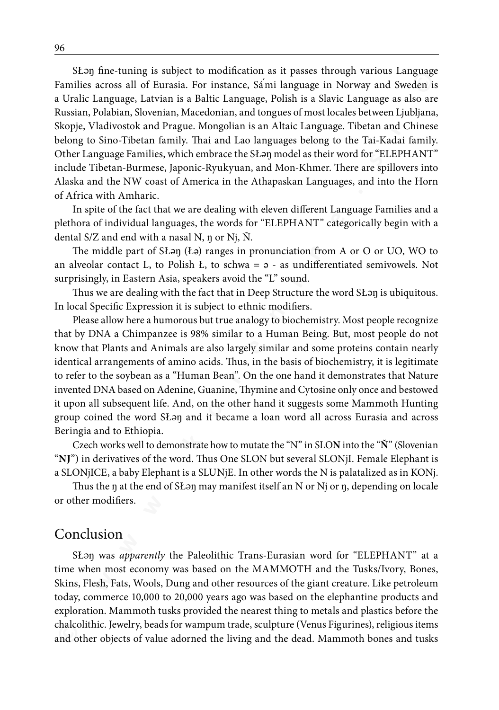**E S E E C E E C E E E E C E E E C E E C E C E C E C E C E C E C E C E C E C E C E C C E C C E C C C C C C C C** SŁan fine-tuning is subject to modification as it passes through various Language Families across all of Eurasia. For instance, Sámi language in Norway and Sweden is ́ a Uralic Language, Latvian is a Baltic Language, Polish is a Slavic Language as also are Russian, Polabian, Slovenian, Macedonian, and tongues of most locales between Ljubljana, Skopje, Vladivostok and Prague. Mongolian is an Altaic Language. Tibetan and Chinese belong to Sino-Tibetan family. Thai and Lao languages belong to the Tai-Kadai family. Other Language Families, which embrace the SŁəŋ model as their word for "ELEPHANT" include Tibetan-Burmese, Japonic-Ryukyuan, and Mon-Khmer. There are spillovers into Alaska and the NW coast of America in the Athapaskan Languages, and into the Horn of Africa with Amharic.

In spite of the fact that we are dealing with eleven different Language Families and a plethora of individual languages, the words for "ELEPHANT" categorically begin with a dental S/Z and end with a nasal N, ŋ or Nj, Ň.

The middle part of SŁəŋ (Łə) ranges in pronunciation from A or O or UO, WO to an alveolar contact L, to Polish Ł, to schwa =  $\vartheta$  - as undifferentiated semivowels. Not surprisingly, in Eastern Asia, speakers avoid the "L" sound.

Thus we are dealing with the fact that in Deep Structure the word SŁəŋ is ubiquitous. In local Specific Expression it is subject to ethnic modifiers.

Please allow here a humorous but true analogy to biochemistry. Most people recognize that by DNA a Chimpanzee is 98% similar to a Human Being. But, most people do not know that Plants and Animals are also largely similar and some proteins contain nearly identical arrangements of amino acids. Thus, in the basis of biochemistry, it is legitimate to refer to the soybean as a "Human Bean". On the one hand it demonstrates that Nature invented DNA based on Adenine, Guanine, Thymine and Cytosine only once and bestowed it upon all subsequent life. And, on the other hand it suggests some Mammoth Hunting group coined the word SŁəŋ and it became a loan word all across Eurasia and across Beringia and to Ethiopia.

Czech works well to demonstrate how to mutate the "N" in SLO**N** into the "**Ň**" (Slovenian "**NJ**") in derivatives of the word. Thus One SLON but several SLONjI. Female Elephant is a SLONjICE, a baby Elephant is a SLUNjE. In other words the N is palatalized as in KONj.

Thus the ŋ at the end of SŁəŋ may manifest itself an N or Nj or ŋ, depending on locale or other modifiers.

#### Conclusion

SŁəŋ was *apparently* the Paleolithic Trans-Eurasian word for "ELEPHANT" at a time when most economy was based on the MAMMOTH and the Tusks/Ivory, Bones, Skins, Flesh, Fats, Wools, Dung and other resources of the giant creature. Like petroleum today, commerce 10,000 to 20,000 years ago was based on the elephantine products and exploration. Mammoth tusks provided the nearest thing to metals and plastics before the chalcolithic. Jewelry, beads for wampum trade, sculpture (Venus Figurines), religious items and other objects of value adorned the living and the dead. Mammoth bones and tusks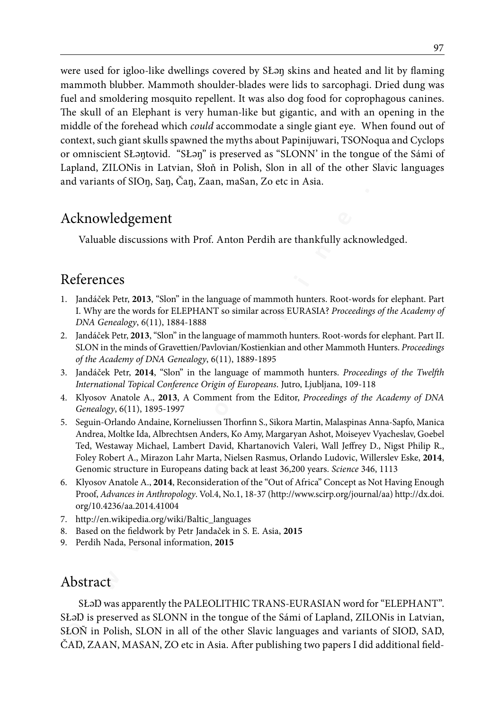**We are the solution of the consideration of the state of the Clurch (Comparison) and the state of the state of the particle in the state of the state of the state of the formulation particle in the state of the formulatio** were used for igloo-like dwellings covered by SŁəŋ skins and heated and lit by flaming mammoth blubber. Mammoth shoulder-blades were lids to sarcophagi. Dried dung was fuel and smoldering mosquito repellent. It was also dog food for coprophagous canines. The skull of an Elephant is very human-like but gigantic, and with an opening in the middle of the forehead which *could* accommodate a single giant eye. When found out of context, such giant skulls spawned the myths about Papinijuwari, TSONoqua and Cyclops or omniscient SŁəŋtovid. "SŁəŋ" is preserved as "SLONN' in the tongue of the Sámi of Lapland, ZILONis in Latvian, Słoň in Polish, Slon in all of the other Slavic languages and variants of SIOŋ, Saŋ, Čaŋ, Zaan, maSan, Zo etc in Asia.

# Acknowledgement

Valuable discussions with Prof. Anton Perdih are thankfully acknowledged.

# References

- 1. Jandáček Petr, **2013**, "Slon" in the language of mammoth hunters. Root-words for elephant. Part I. Why are the words for ELEPHANT so similar across EURASIA? *Proceedings of the Academy of DNA Genealogy*, 6(11), 1884-1888
- 2. Jandáček Petr, **2013**, "Slon" in the language of mammoth hunters. Root-words for elephant. Part II. SLON in the minds of Gravettien/Pavlovian/Kostienkian and other Mammoth Hunters. *Proceedings of the Academy of DNA Genealogy*, 6(11), 1889-1895
- 3. Jandáček Petr, **2014**, "Slon" in the language of mammoth hunters. *Proceedings of the Twelfth International Topical Conference Origin of Europeans*. Jutro, Ljubljana, 109-118
- 4. Klyosov Anatole A., **2013**, A Comment from the Editor, *Proceedings of the Academy of DNA Genealogy*, 6(11), 1895-1997
- 5. Seguin-Orlando Andaine, Korneliussen Thorfinn S., Sikora Martin, Malaspinas Anna-Sapfo, Manica Andrea, Moltke Ida, Albrechtsen Anders, Ko Amy, Margaryan Ashot, Moiseyev Vyacheslav, Goebel Ted, Westaway Michael, Lambert David, Khartanovich Valeri, Wall Jeffrey D., Nigst Philip R., Foley Robert A., Mirazon Lahr Marta, Nielsen Rasmus, Orlando Ludovic, Willerslev Eske, **2014**, Genomic structure in Europeans dating back at least 36,200 years. *Science* 346, 1113
- 6. Klyosov Anatole A., **2014**, Reconsideration of the "Out of Africa" Concept as Not Having Enough Proof, *Advances in Anthropology*. Vol.4, No.1, 18-37 (http://www.scirp.org/journal/aa) http://dx.doi. org/10.4236/aa.2014.41004
- 7. http://en.wikipedia.org/wiki/Baltic\_languages
- 8. Based on the fieldwork by Petr Jandaček in S. E. Asia, **2015**
- 9. Perdih Nada, Personal information, **2015**

## Abstract

SŁal) was apparently the PALEOLITHIC TRANS-EURASIAN word for "ELEPHANT". SŁaD is preserved as SLONN in the tongue of the Sámi of Lapland, ZILONis in Latvian, SŁOÑ in Polish, SLON in all of the other Slavic languages and variants of SIOŊ, SAŊ, ČAŊ, ZAAN, MASAN, ZO etc in Asia. After publishing two papers I did additional field-